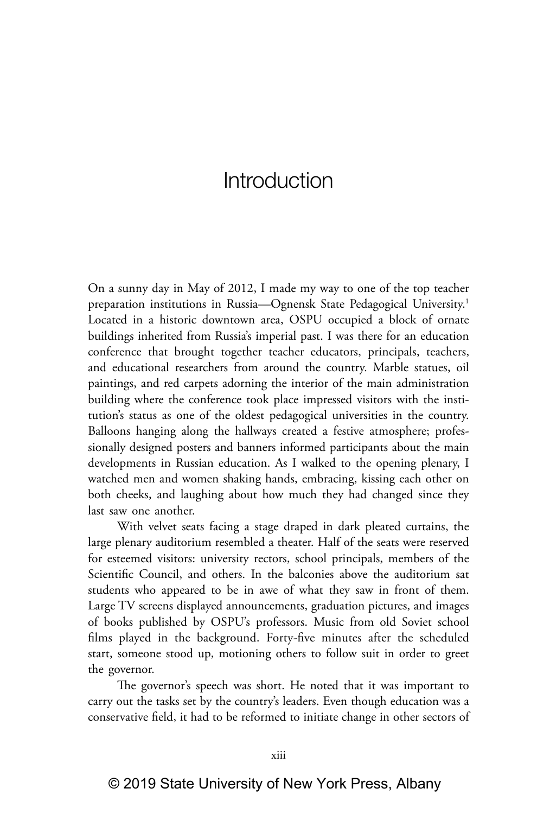# Introduction

On a sunny day in May of 2012, I made my way to one of the top teacher preparation institutions in Russia-Ognensk State Pedagogical University.<sup>1</sup> Located in a historic downtown area, OSPU occupied a block of ornate buildings inherited from Russia's imperial past. I was there for an education conference that brought together teacher educators, principals, teachers, and educational researchers from around the country. Marble statues, oil paintings, and red carpets adorning the interior of the main administration building where the conference took place impressed visitors with the institution's status as one of the oldest pedagogical universities in the country. Balloons hanging along the hallways created a festive atmosphere; professionally designed posters and banners informed participants about the main developments in Russian education. As I walked to the opening plenary, I watched men and women shaking hands, embracing, kissing each other on both cheeks, and laughing about how much they had changed since they last saw one another.

With velvet seats facing a stage draped in dark pleated curtains, the large plenary auditorium resembled a theater. Half of the seats were reserved for esteemed visitors: university rectors, school principals, members of the Scientific Council, and others. In the balconies above the auditorium sat students who appeared to be in awe of what they saw in front of them. Large TV screens displayed announcements, graduation pictures, and images of books published by OSPU's professors. Music from old Soviet school films played in the background. Forty-five minutes after the scheduled start, someone stood up, motioning others to follow suit in order to greet the governor.

The governor's speech was short. He noted that it was important to carry out the tasks set by the country's leaders. Even though education was a conservative field, it had to be reformed to initiate change in other sectors of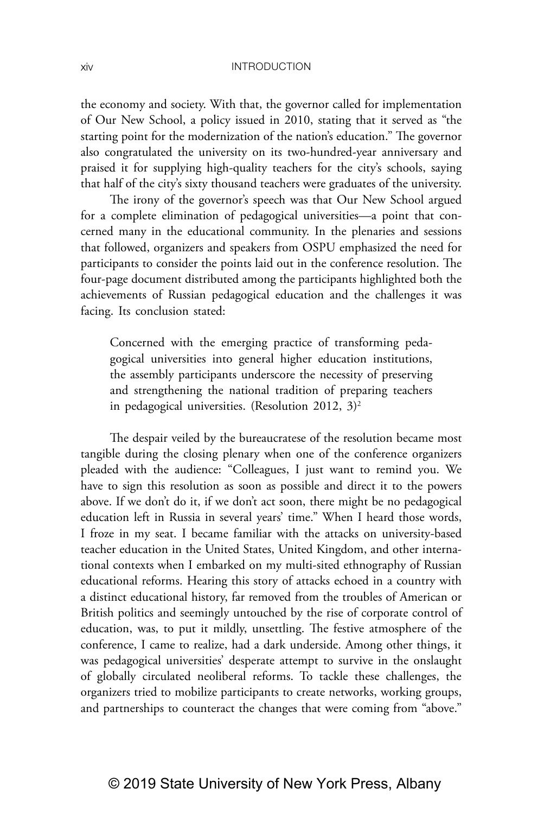#### xiv INTRODUCTION

the economy and society. With that, the governor called for implementation of Our New School, a policy issued in 2010, stating that it served as "the starting point for the modernization of the nation's education." The governor also congratulated the university on its two-hundred-year anniversary and praised it for supplying high-quality teachers for the city's schools, saying that half of the city's sixty thousand teachers were graduates of the university.

The irony of the governor's speech was that Our New School argued for a complete elimination of pedagogical universities—a point that concerned many in the educational community. In the plenaries and sessions that followed, organizers and speakers from OSPU emphasized the need for participants to consider the points laid out in the conference resolution. The four-page document distributed among the participants highlighted both the achievements of Russian pedagogical education and the challenges it was facing. Its conclusion stated:

Concerned with the emerging practice of transforming pedagogical universities into general higher education institutions, the assembly participants underscore the necessity of preserving and strengthening the national tradition of preparing teachers in pedagogical universities. (Resolution 2012,  $3$ )<sup>2</sup>

The despair veiled by the bureaucratese of the resolution became most tangible during the closing plenary when one of the conference organizers pleaded with the audience: "Colleagues, I just want to remind you. We have to sign this resolution as soon as possible and direct it to the powers above. If we don't do it, if we don't act soon, there might be no pedagogical education left in Russia in several years' time." When I heard those words, I froze in my seat. I became familiar with the attacks on university-based teacher education in the United States, United Kingdom, and other international contexts when I embarked on my multi-sited ethnography of Russian educational reforms. Hearing this story of attacks echoed in a country with a distinct educational history, far removed from the troubles of American or British politics and seemingly untouched by the rise of corporate control of education, was, to put it mildly, unsettling. The festive atmosphere of the conference, I came to realize, had a dark underside. Among other things, it was pedagogical universities' desperate attempt to survive in the onslaught of globally circulated neoliberal reforms. To tackle these challenges, the organizers tried to mobilize participants to create networks, working groups, and partnerships to counteract the changes that were coming from "above."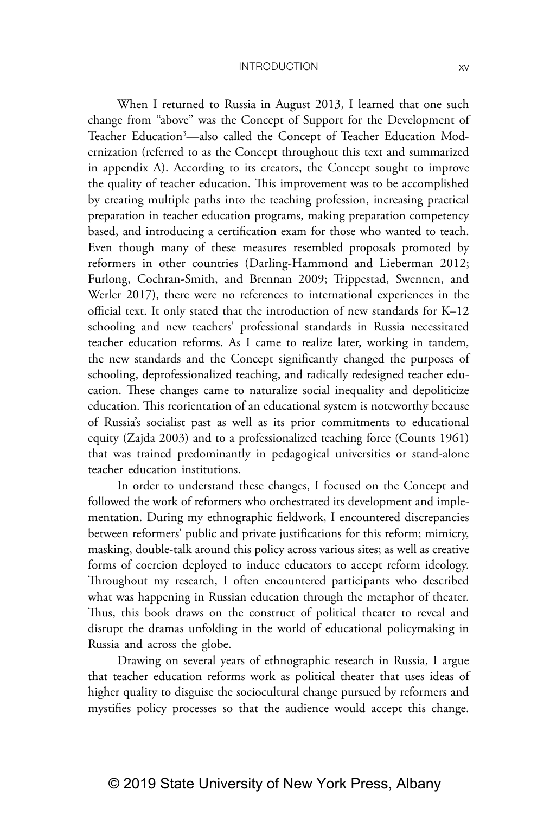#### INTRODUCTION xv

When I returned to Russia in August 2013, I learned that one such change from "above" was the Concept of Support for the Development of Teacher Education<sup>3</sup>—also called the Concept of Teacher Education Modernization (referred to as the Concept throughout this text and summarized in appendix A). According to its creators, the Concept sought to improve the quality of teacher education. This improvement was to be accomplished by creating multiple paths into the teaching profession, increasing practical preparation in teacher education programs, making preparation competency based, and introducing a certification exam for those who wanted to teach. Even though many of these measures resembled proposals promoted by reformers in other countries (Darling-Hammond and Lieberman 2012; Furlong, Cochran-Smith, and Brennan 2009; Trippestad, Swennen, and Werler 2017), there were no references to international experiences in the official text. It only stated that the introduction of new standards for K–12 schooling and new teachers' professional standards in Russia necessitated teacher education reforms. As I came to realize later, working in tandem, the new standards and the Concept significantly changed the purposes of schooling, deprofessionalized teaching, and radically redesigned teacher education. These changes came to naturalize social inequality and depoliticize education. This reorientation of an educational system is noteworthy because of Russia's socialist past as well as its prior commitments to educational equity (Zajda 2003) and to a professionalized teaching force (Counts 1961) that was trained predominantly in pedagogical universities or stand-alone teacher education institutions.

In order to understand these changes, I focused on the Concept and followed the work of reformers who orchestrated its development and implementation. During my ethnographic fieldwork, I encountered discrepancies between reformers' public and private justifications for this reform; mimicry, masking, double-talk around this policy across various sites; as well as creative forms of coercion deployed to induce educators to accept reform ideology. Throughout my research, I often encountered participants who described what was happening in Russian education through the metaphor of theater. Thus, this book draws on the construct of political theater to reveal and disrupt the dramas unfolding in the world of educational policymaking in Russia and across the globe.

Drawing on several years of ethnographic research in Russia, I argue that teacher education reforms work as political theater that uses ideas of higher quality to disguise the sociocultural change pursued by reformers and mystifies policy processes so that the audience would accept this change.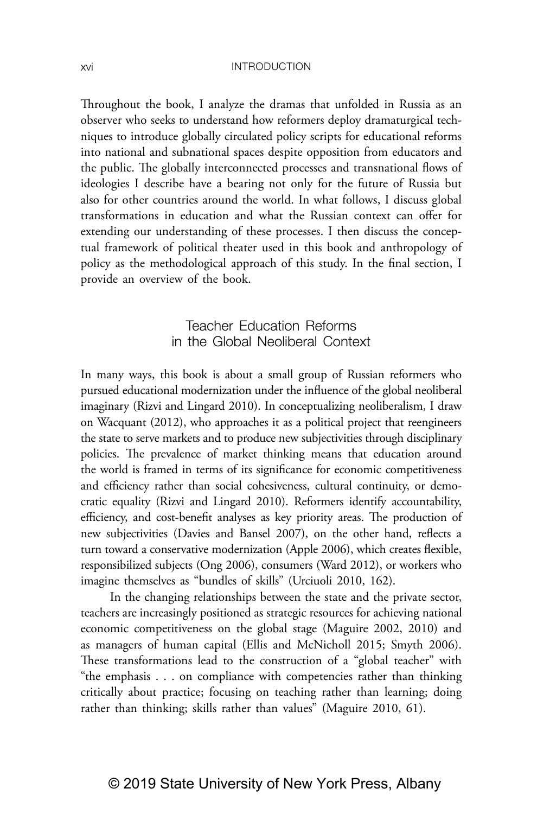#### xvi INTRODUCTION

Throughout the book, I analyze the dramas that unfolded in Russia as an observer who seeks to understand how reformers deploy dramaturgical techniques to introduce globally circulated policy scripts for educational reforms into national and subnational spaces despite opposition from educators and the public. The globally interconnected processes and transnational flows of ideologies I describe have a bearing not only for the future of Russia but also for other countries around the world. In what follows, I discuss global transformations in education and what the Russian context can offer for extending our understanding of these processes. I then discuss the conceptual framework of political theater used in this book and anthropology of policy as the methodological approach of this study. In the final section, I provide an overview of the book.

## Teacher Education Reforms in the Global Neoliberal Context

In many ways, this book is about a small group of Russian reformers who pursued educational modernization under the influence of the global neoliberal imaginary (Rizvi and Lingard 2010). In conceptualizing neoliberalism, I draw on Wacquant (2012), who approaches it as a political project that reengineers the state to serve markets and to produce new subjectivities through disciplinary policies. The prevalence of market thinking means that education around the world is framed in terms of its significance for economic competitiveness and efficiency rather than social cohesiveness, cultural continuity, or democratic equality (Rizvi and Lingard 2010). Reformers identify accountability, efficiency, and cost-benefit analyses as key priority areas. The production of new subjectivities (Davies and Bansel 2007), on the other hand, reflects a turn toward a conservative modernization (Apple 2006), which creates flexible, responsibilized subjects (Ong 2006), consumers (Ward 2012), or workers who imagine themselves as "bundles of skills" (Urciuoli 2010, 162).

In the changing relationships between the state and the private sector, teachers are increasingly positioned as strategic resources for achieving national economic competitiveness on the global stage (Maguire 2002, 2010) and as managers of human capital (Ellis and McNicholl 2015; Smyth 2006). These transformations lead to the construction of a "global teacher" with "the emphasis . . . on compliance with competencies rather than thinking critically about practice; focusing on teaching rather than learning; doing rather than thinking; skills rather than values" (Maguire 2010, 61).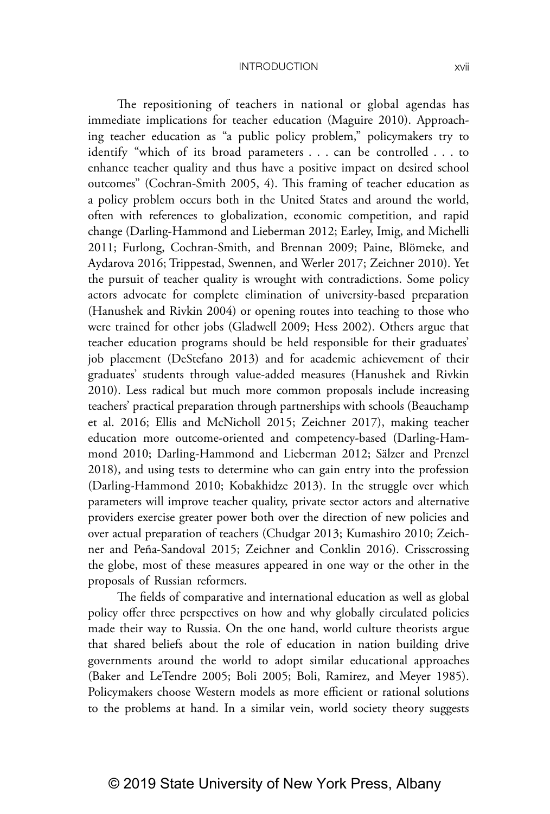#### INTRODUCTION xvii

The repositioning of teachers in national or global agendas has immediate implications for teacher education (Maguire 2010). Approaching teacher education as "a public policy problem," policymakers try to identify "which of its broad parameters . . . can be controlled . . . to enhance teacher quality and thus have a positive impact on desired school outcomes" (Cochran-Smith 2005, 4). This framing of teacher education as a policy problem occurs both in the United States and around the world, often with references to globalization, economic competition, and rapid change (Darling-Hammond and Lieberman 2012; Earley, Imig, and Michelli 2011; Furlong, Cochran-Smith, and Brennan 2009; Paine, Blömeke, and Aydarova 2016; Trippestad, Swennen, and Werler 2017; Zeichner 2010). Yet the pursuit of teacher quality is wrought with contradictions. Some policy actors advocate for complete elimination of university-based preparation (Hanushek and Rivkin 2004) or opening routes into teaching to those who were trained for other jobs (Gladwell 2009; Hess 2002). Others argue that teacher education programs should be held responsible for their graduates' job placement (DeStefano 2013) and for academic achievement of their graduates' students through value-added measures (Hanushek and Rivkin 2010). Less radical but much more common proposals include increasing teachers' practical preparation through partnerships with schools (Beauchamp et al. 2016; Ellis and McNicholl 2015; Zeichner 2017), making teacher education more outcome-oriented and competency-based (Darling-Hammond 2010; Darling-Hammond and Lieberman 2012; Sälzer and Prenzel 2018), and using tests to determine who can gain entry into the profession (Darling-Hammond 2010; Kobakhidze 2013). In the struggle over which parameters will improve teacher quality, private sector actors and alternative providers exercise greater power both over the direction of new policies and over actual preparation of teachers (Chudgar 2013; Kumashiro 2010; Zeichner and Peña-Sandoval 2015; Zeichner and Conklin 2016). Crisscrossing the globe, most of these measures appeared in one way or the other in the proposals of Russian reformers.

The fields of comparative and international education as well as global policy offer three perspectives on how and why globally circulated policies made their way to Russia. On the one hand, world culture theorists argue that shared beliefs about the role of education in nation building drive governments around the world to adopt similar educational approaches (Baker and LeTendre 2005; Boli 2005; Boli, Ramirez, and Meyer 1985). Policymakers choose Western models as more efficient or rational solutions to the problems at hand. In a similar vein, world society theory suggests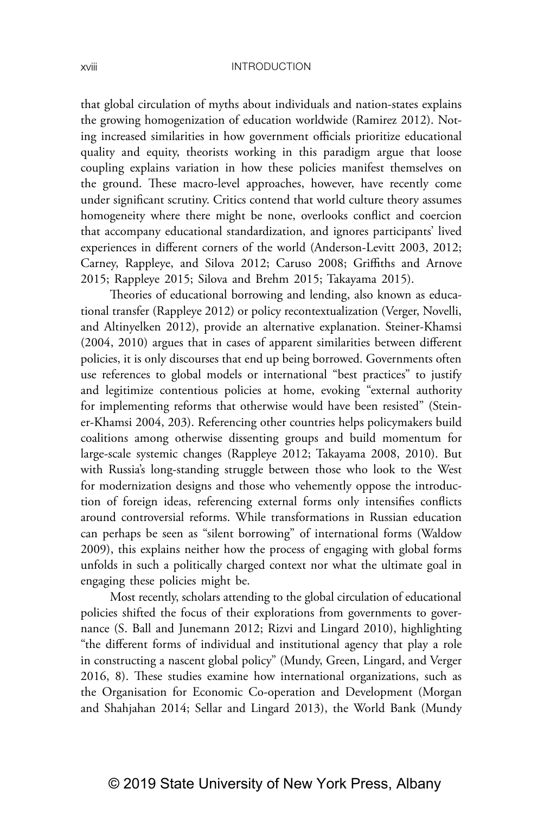#### xviii INTRODUCTION

that global circulation of myths about individuals and nation-states explains the growing homogenization of education worldwide (Ramirez 2012). Noting increased similarities in how government officials prioritize educational quality and equity, theorists working in this paradigm argue that loose coupling explains variation in how these policies manifest themselves on the ground. These macro-level approaches, however, have recently come under significant scrutiny. Critics contend that world culture theory assumes homogeneity where there might be none, overlooks conflict and coercion that accompany educational standardization, and ignores participants' lived experiences in different corners of the world (Anderson-Levitt 2003, 2012; Carney, Rappleye, and Silova 2012; Caruso 2008; Griffiths and Arnove 2015; Rappleye 2015; Silova and Brehm 2015; Takayama 2015).

Theories of educational borrowing and lending, also known as educational transfer (Rappleye 2012) or policy recontextualization (Verger, Novelli, and Altinyelken 2012), provide an alternative explanation. Steiner-Khamsi (2004, 2010) argues that in cases of apparent similarities between different policies, it is only discourses that end up being borrowed. Governments often use references to global models or international "best practices" to justify and legitimize contentious policies at home, evoking "external authority for implementing reforms that otherwise would have been resisted" (Steiner-Khamsi 2004, 203). Referencing other countries helps policymakers build coalitions among otherwise dissenting groups and build momentum for large-scale systemic changes (Rappleye 2012; Takayama 2008, 2010). But with Russia's long-standing struggle between those who look to the West for modernization designs and those who vehemently oppose the introduction of foreign ideas, referencing external forms only intensifies conflicts around controversial reforms. While transformations in Russian education can perhaps be seen as "silent borrowing" of international forms (Waldow 2009), this explains neither how the process of engaging with global forms unfolds in such a politically charged context nor what the ultimate goal in engaging these policies might be.

Most recently, scholars attending to the global circulation of educational policies shifted the focus of their explorations from governments to governance (S. Ball and Junemann 2012; Rizvi and Lingard 2010), highlighting "the different forms of individual and institutional agency that play a role in constructing a nascent global policy" (Mundy, Green, Lingard, and Verger 2016, 8). These studies examine how international organizations, such as the Organisation for Economic Co-operation and Development (Morgan and Shahjahan 2014; Sellar and Lingard 2013), the World Bank (Mundy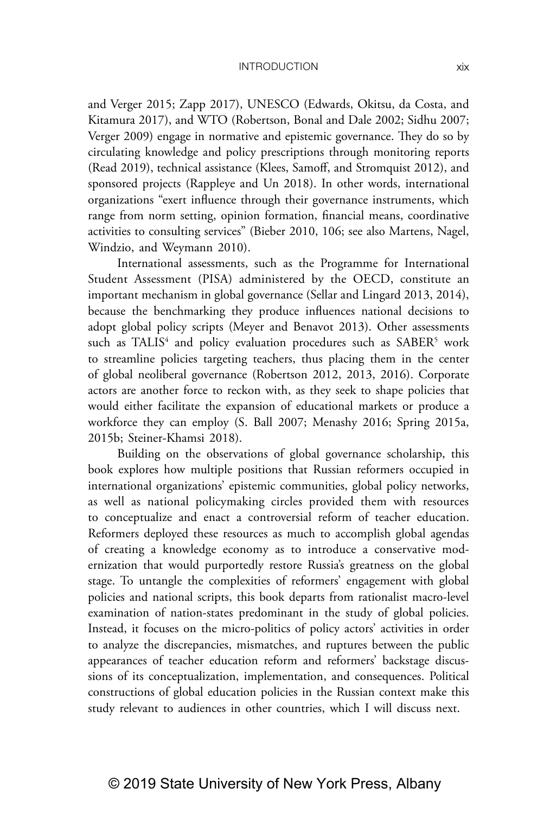#### INTRODUCTION xix

and Verger 2015; Zapp 2017), UNESCO (Edwards, Okitsu, da Costa, and Kitamura 2017), and WTO (Robertson, Bonal and Dale 2002; Sidhu 2007; Verger 2009) engage in normative and epistemic governance. They do so by circulating knowledge and policy prescriptions through monitoring reports (Read 2019), technical assistance (Klees, Samoff, and Stromquist 2012), and sponsored projects (Rappleye and Un 2018). In other words, international organizations "exert influence through their governance instruments, which range from norm setting, opinion formation, financial means, coordinative activities to consulting services" (Bieber 2010, 106; see also Martens, Nagel, Windzio, and Weymann 2010).

International assessments, such as the Programme for International Student Assessment (PISA) administered by the OECD, constitute an important mechanism in global governance (Sellar and Lingard 2013, 2014), because the benchmarking they produce influences national decisions to adopt global policy scripts (Meyer and Benavot 2013). Other assessments such as TALIS<sup>4</sup> and policy evaluation procedures such as  $SABER<sup>5</sup>$  work to streamline policies targeting teachers, thus placing them in the center of global neoliberal governance (Robertson 2012, 2013, 2016). Corporate actors are another force to reckon with, as they seek to shape policies that would either facilitate the expansion of educational markets or produce a workforce they can employ (S. Ball 2007; Menashy 2016; Spring 2015a, 2015b; Steiner-Khamsi 2018).

Building on the observations of global governance scholarship, this book explores how multiple positions that Russian reformers occupied in international organizations' epistemic communities, global policy networks, as well as national policymaking circles provided them with resources to conceptualize and enact a controversial reform of teacher education. Reformers deployed these resources as much to accomplish global agendas of creating a knowledge economy as to introduce a conservative modernization that would purportedly restore Russia's greatness on the global stage. To untangle the complexities of reformers' engagement with global policies and national scripts, this book departs from rationalist macro-level examination of nation-states predominant in the study of global policies. Instead, it focuses on the micro-politics of policy actors' activities in order to analyze the discrepancies, mismatches, and ruptures between the public appearances of teacher education reform and reformers' backstage discussions of its conceptualization, implementation, and consequences. Political constructions of global education policies in the Russian context make this study relevant to audiences in other countries, which I will discuss next.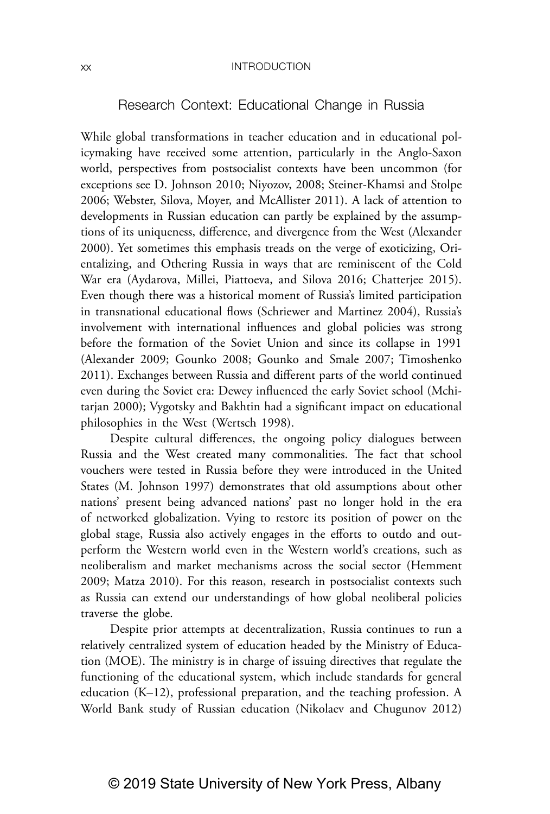#### xx INTRODUCTION

## Research Context: Educational Change in Russia

While global transformations in teacher education and in educational policymaking have received some attention, particularly in the Anglo-Saxon world, perspectives from postsocialist contexts have been uncommon (for exceptions see D. Johnson 2010; Niyozov, 2008; Steiner-Khamsi and Stolpe 2006; Webster, Silova, Moyer, and McAllister 2011). A lack of attention to developments in Russian education can partly be explained by the assumptions of its uniqueness, difference, and divergence from the West (Alexander 2000). Yet sometimes this emphasis treads on the verge of exoticizing, Orientalizing, and Othering Russia in ways that are reminiscent of the Cold War era (Aydarova, Millei, Piattoeva, and Silova 2016; Chatterjee 2015). Even though there was a historical moment of Russia's limited participation in transnational educational flows (Schriewer and Martinez 2004), Russia's involvement with international influences and global policies was strong before the formation of the Soviet Union and since its collapse in 1991 (Alexander 2009; Gounko 2008; Gounko and Smale 2007; Timoshenko 2011). Exchanges between Russia and different parts of the world continued even during the Soviet era: Dewey influenced the early Soviet school (Mchitarjan 2000); Vygotsky and Bakhtin had a significant impact on educational philosophies in the West (Wertsch 1998).

Despite cultural differences, the ongoing policy dialogues between Russia and the West created many commonalities. The fact that school vouchers were tested in Russia before they were introduced in the United States (M. Johnson 1997) demonstrates that old assumptions about other nations' present being advanced nations' past no longer hold in the era of networked globalization. Vying to restore its position of power on the global stage, Russia also actively engages in the efforts to outdo and outperform the Western world even in the Western world's creations, such as neoliberalism and market mechanisms across the social sector (Hemment 2009; Matza 2010). For this reason, research in postsocialist contexts such as Russia can extend our understandings of how global neoliberal policies traverse the globe.

Despite prior attempts at decentralization, Russia continues to run a relatively centralized system of education headed by the Ministry of Education (MOE). The ministry is in charge of issuing directives that regulate the functioning of the educational system, which include standards for general education (K–12), professional preparation, and the teaching profession. A World Bank study of Russian education (Nikolaev and Chugunov 2012)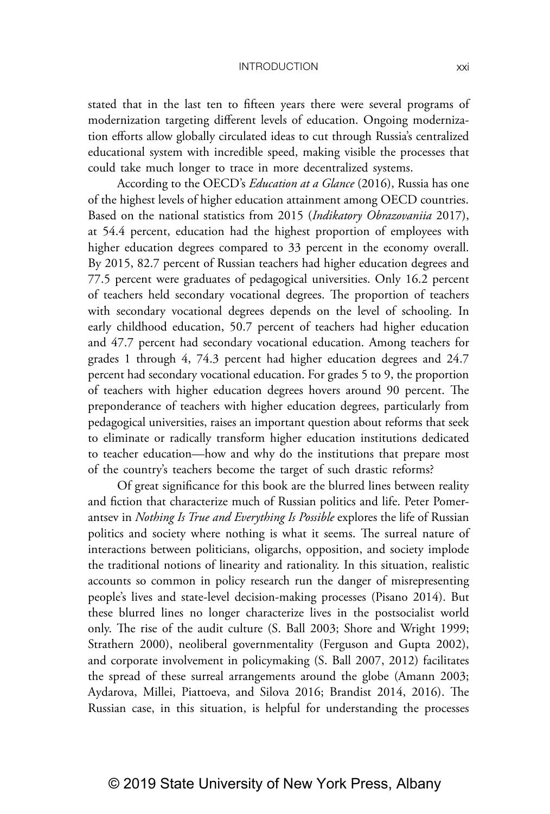#### INTRODUCTION xxi

stated that in the last ten to fifteen years there were several programs of modernization targeting different levels of education. Ongoing modernization efforts allow globally circulated ideas to cut through Russia's centralized educational system with incredible speed, making visible the processes that could take much longer to trace in more decentralized systems.

According to the OECD's *Education at a Glance* (2016), Russia has one of the highest levels of higher education attainment among OECD countries. Based on the national statistics from 2015 (*Indikatory Obrazovaniia* 2017), at 54.4 percent, education had the highest proportion of employees with higher education degrees compared to 33 percent in the economy overall. By 2015, 82.7 percent of Russian teachers had higher education degrees and 77.5 percent were graduates of pedagogical universities. Only 16.2 percent of teachers held secondary vocational degrees. The proportion of teachers with secondary vocational degrees depends on the level of schooling. In early childhood education, 50.7 percent of teachers had higher education and 47.7 percent had secondary vocational education. Among teachers for grades 1 through 4, 74.3 percent had higher education degrees and 24.7 percent had secondary vocational education. For grades 5 to 9, the proportion of teachers with higher education degrees hovers around 90 percent. The preponderance of teachers with higher education degrees, particularly from pedagogical universities, raises an important question about reforms that seek to eliminate or radically transform higher education institutions dedicated to teacher education—how and why do the institutions that prepare most of the country's teachers become the target of such drastic reforms?

Of great significance for this book are the blurred lines between reality and fiction that characterize much of Russian politics and life. Peter Pomerantsev in *Nothing Is True and Everything Is Possible* explores the life of Russian politics and society where nothing is what it seems. The surreal nature of interactions between politicians, oligarchs, opposition, and society implode the traditional notions of linearity and rationality. In this situation, realistic accounts so common in policy research run the danger of misrepresenting people's lives and state-level decision-making processes (Pisano 2014). But these blurred lines no longer characterize lives in the postsocialist world only. The rise of the audit culture (S. Ball 2003; Shore and Wright 1999; Strathern 2000), neoliberal governmentality (Ferguson and Gupta 2002), and corporate involvement in policymaking (S. Ball 2007, 2012) facilitates the spread of these surreal arrangements around the globe (Amann 2003; Aydarova, Millei, Piattoeva, and Silova 2016; Brandist 2014, 2016). The Russian case, in this situation, is helpful for understanding the processes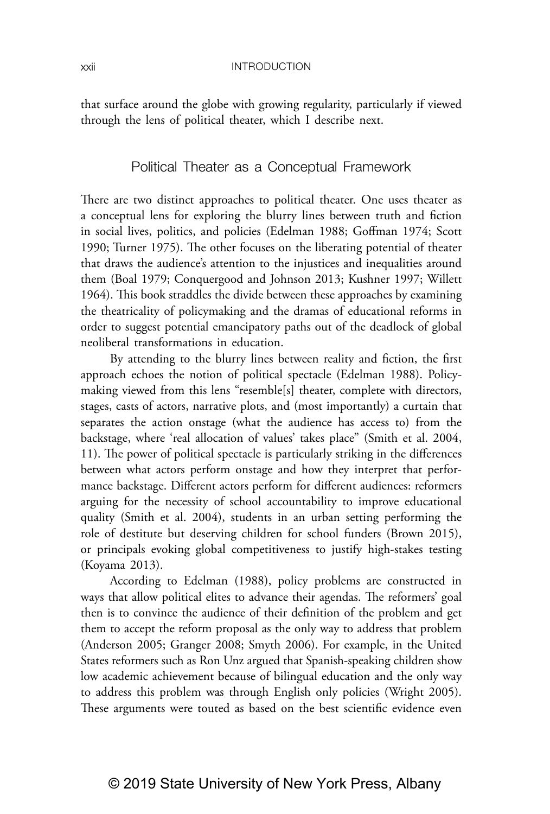that surface around the globe with growing regularity, particularly if viewed through the lens of political theater, which I describe next.

## Political Theater as a Conceptual Framework

There are two distinct approaches to political theater. One uses theater as a conceptual lens for exploring the blurry lines between truth and fiction in social lives, politics, and policies (Edelman 1988; Goffman 1974; Scott 1990; Turner 1975). The other focuses on the liberating potential of theater that draws the audience's attention to the injustices and inequalities around them (Boal 1979; Conquergood and Johnson 2013; Kushner 1997; Willett 1964). This book straddles the divide between these approaches by examining the theatricality of policymaking and the dramas of educational reforms in order to suggest potential emancipatory paths out of the deadlock of global neoliberal transformations in education.

By attending to the blurry lines between reality and fiction, the first approach echoes the notion of political spectacle (Edelman 1988). Policymaking viewed from this lens "resemble[s] theater, complete with directors, stages, casts of actors, narrative plots, and (most importantly) a curtain that separates the action onstage (what the audience has access to) from the backstage, where 'real allocation of values' takes place" (Smith et al. 2004, 11). The power of political spectacle is particularly striking in the differences between what actors perform onstage and how they interpret that performance backstage. Different actors perform for different audiences: reformers arguing for the necessity of school accountability to improve educational quality (Smith et al. 2004), students in an urban setting performing the role of destitute but deserving children for school funders (Brown 2015), or principals evoking global competitiveness to justify high-stakes testing (Koyama 2013).

According to Edelman (1988), policy problems are constructed in ways that allow political elites to advance their agendas. The reformers' goal then is to convince the audience of their definition of the problem and get them to accept the reform proposal as the only way to address that problem (Anderson 2005; Granger 2008; Smyth 2006). For example, in the United States reformers such as Ron Unz argued that Spanish-speaking children show low academic achievement because of bilingual education and the only way to address this problem was through English only policies (Wright 2005). These arguments were touted as based on the best scientific evidence even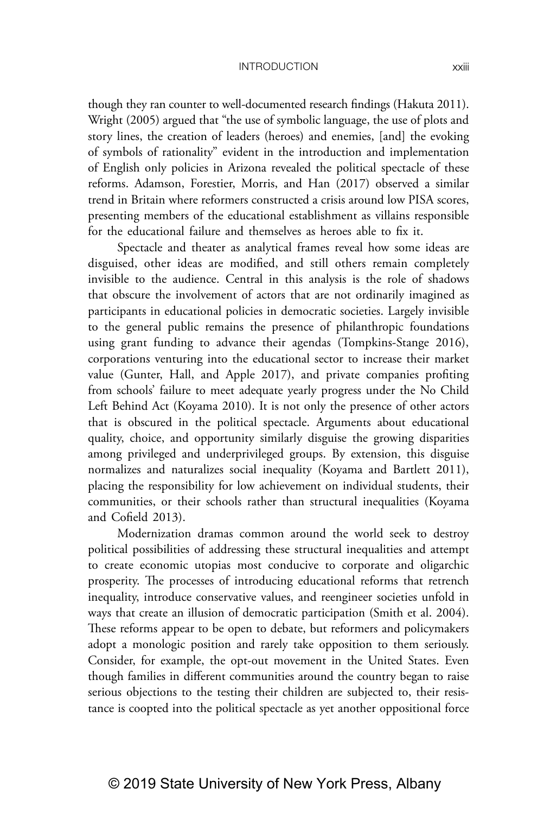#### INTRODUCTION xxiii

though they ran counter to well-documented research findings (Hakuta 2011). Wright (2005) argued that "the use of symbolic language, the use of plots and story lines, the creation of leaders (heroes) and enemies, [and] the evoking of symbols of rationality" evident in the introduction and implementation of English only policies in Arizona revealed the political spectacle of these reforms. Adamson, Forestier, Morris, and Han (2017) observed a similar trend in Britain where reformers constructed a crisis around low PISA scores, presenting members of the educational establishment as villains responsible for the educational failure and themselves as heroes able to fix it.

Spectacle and theater as analytical frames reveal how some ideas are disguised, other ideas are modified, and still others remain completely invisible to the audience. Central in this analysis is the role of shadows that obscure the involvement of actors that are not ordinarily imagined as participants in educational policies in democratic societies. Largely invisible to the general public remains the presence of philanthropic foundations using grant funding to advance their agendas (Tompkins-Stange 2016), corporations venturing into the educational sector to increase their market value (Gunter, Hall, and Apple 2017), and private companies profiting from schools' failure to meet adequate yearly progress under the No Child Left Behind Act (Koyama 2010). It is not only the presence of other actors that is obscured in the political spectacle. Arguments about educational quality, choice, and opportunity similarly disguise the growing disparities among privileged and underprivileged groups. By extension, this disguise normalizes and naturalizes social inequality (Koyama and Bartlett 2011), placing the responsibility for low achievement on individual students, their communities, or their schools rather than structural inequalities (Koyama and Cofield 2013).

Modernization dramas common around the world seek to destroy political possibilities of addressing these structural inequalities and attempt to create economic utopias most conducive to corporate and oligarchic prosperity. The processes of introducing educational reforms that retrench inequality, introduce conservative values, and reengineer societies unfold in ways that create an illusion of democratic participation (Smith et al. 2004). These reforms appear to be open to debate, but reformers and policymakers adopt a monologic position and rarely take opposition to them seriously. Consider, for example, the opt-out movement in the United States. Even though families in different communities around the country began to raise serious objections to the testing their children are subjected to, their resistance is coopted into the political spectacle as yet another oppositional force

## © 2019 State University of New York Press, Albany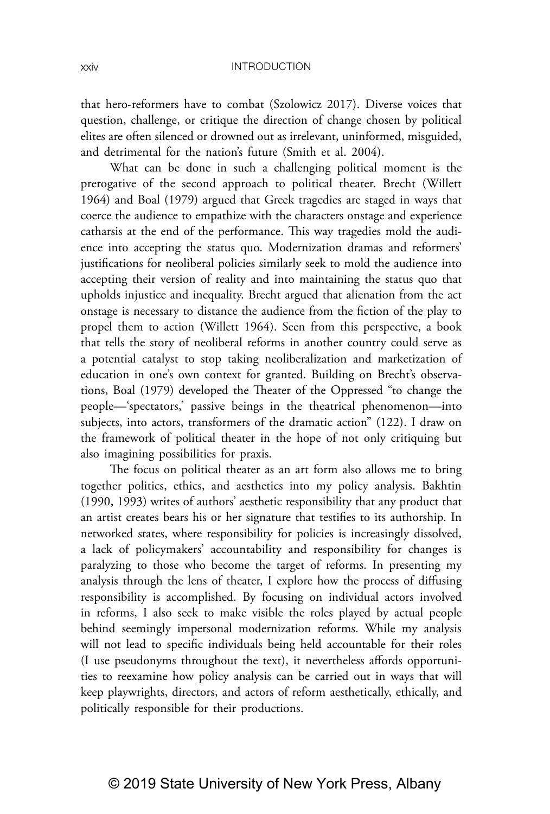#### xxiv INTRODUCTION

that hero-reformers have to combat (Szolowicz 2017). Diverse voices that question, challenge, or critique the direction of change chosen by political elites are often silenced or drowned out as irrelevant, uninformed, misguided, and detrimental for the nation's future (Smith et al. 2004).

What can be done in such a challenging political moment is the prerogative of the second approach to political theater. Brecht (Willett 1964) and Boal (1979) argued that Greek tragedies are staged in ways that coerce the audience to empathize with the characters onstage and experience catharsis at the end of the performance. This way tragedies mold the audience into accepting the status quo. Modernization dramas and reformers' justifications for neoliberal policies similarly seek to mold the audience into accepting their version of reality and into maintaining the status quo that upholds injustice and inequality. Brecht argued that alienation from the act onstage is necessary to distance the audience from the fiction of the play to propel them to action (Willett 1964). Seen from this perspective, a book that tells the story of neoliberal reforms in another country could serve as a potential catalyst to stop taking neoliberalization and marketization of education in one's own context for granted. Building on Brecht's observations, Boal (1979) developed the Theater of the Oppressed "to change the people—'spectators,' passive beings in the theatrical phenomenon—into subjects, into actors, transformers of the dramatic action" (122). I draw on the framework of political theater in the hope of not only critiquing but also imagining possibilities for praxis.

The focus on political theater as an art form also allows me to bring together politics, ethics, and aesthetics into my policy analysis. Bakhtin (1990, 1993) writes of authors' aesthetic responsibility that any product that an artist creates bears his or her signature that testifies to its authorship. In networked states, where responsibility for policies is increasingly dissolved, a lack of policymakers' accountability and responsibility for changes is paralyzing to those who become the target of reforms. In presenting my analysis through the lens of theater, I explore how the process of diffusing responsibility is accomplished. By focusing on individual actors involved in reforms, I also seek to make visible the roles played by actual people behind seemingly impersonal modernization reforms. While my analysis will not lead to specific individuals being held accountable for their roles (I use pseudonyms throughout the text), it nevertheless affords opportunities to reexamine how policy analysis can be carried out in ways that will keep playwrights, directors, and actors of reform aesthetically, ethically, and politically responsible for their productions.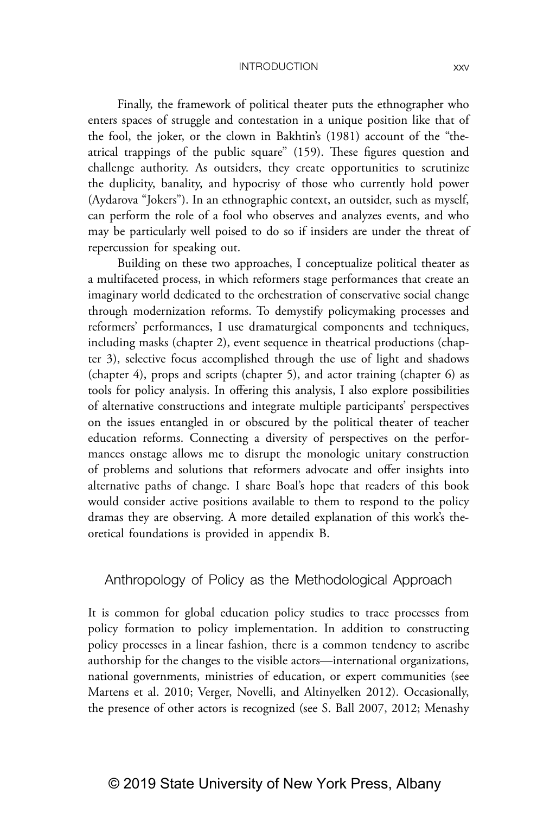#### INTRODUCTION xxv

Finally, the framework of political theater puts the ethnographer who enters spaces of struggle and contestation in a unique position like that of the fool, the joker, or the clown in Bakhtin's (1981) account of the "theatrical trappings of the public square" (159). These figures question and challenge authority. As outsiders, they create opportunities to scrutinize the duplicity, banality, and hypocrisy of those who currently hold power (Aydarova "Jokers"). In an ethnographic context, an outsider, such as myself, can perform the role of a fool who observes and analyzes events, and who may be particularly well poised to do so if insiders are under the threat of repercussion for speaking out.

Building on these two approaches, I conceptualize political theater as a multifaceted process, in which reformers stage performances that create an imaginary world dedicated to the orchestration of conservative social change through modernization reforms. To demystify policymaking processes and reformers' performances, I use dramaturgical components and techniques, including masks (chapter 2), event sequence in theatrical productions (chapter 3), selective focus accomplished through the use of light and shadows (chapter 4), props and scripts (chapter 5), and actor training (chapter 6) as tools for policy analysis. In offering this analysis, I also explore possibilities of alternative constructions and integrate multiple participants' perspectives on the issues entangled in or obscured by the political theater of teacher education reforms. Connecting a diversity of perspectives on the performances onstage allows me to disrupt the monologic unitary construction of problems and solutions that reformers advocate and offer insights into alternative paths of change. I share Boal's hope that readers of this book would consider active positions available to them to respond to the policy dramas they are observing. A more detailed explanation of this work's theoretical foundations is provided in appendix B.

## Anthropology of Policy as the Methodological Approach

It is common for global education policy studies to trace processes from policy formation to policy implementation. In addition to constructing policy processes in a linear fashion, there is a common tendency to ascribe authorship for the changes to the visible actors—international organizations, national governments, ministries of education, or expert communities (see Martens et al. 2010; Verger, Novelli, and Altinyelken 2012). Occasionally, the presence of other actors is recognized (see S. Ball 2007, 2012; Menashy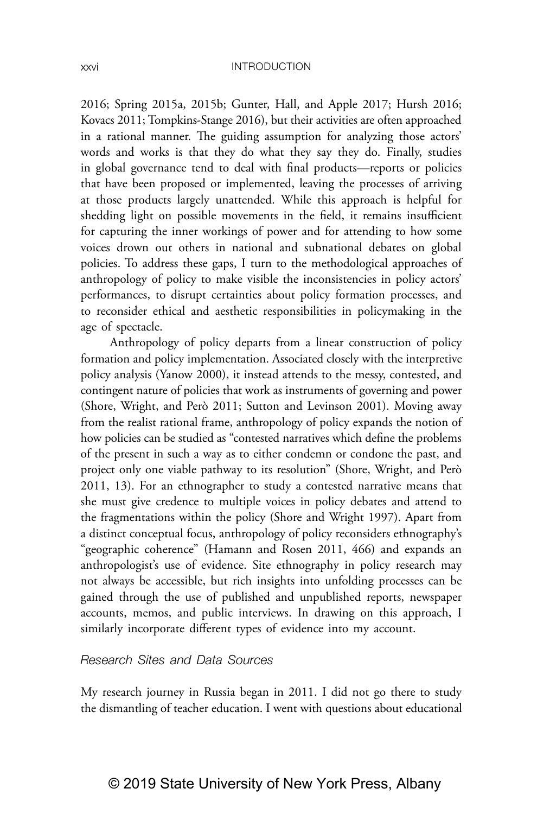#### xxvi INTRODUCTION

2016; Spring 2015a, 2015b; Gunter, Hall, and Apple 2017; Hursh 2016; Kovacs 2011; Tompkins-Stange 2016), but their activities are often approached in a rational manner. The guiding assumption for analyzing those actors' words and works is that they do what they say they do. Finally, studies in global governance tend to deal with final products—reports or policies that have been proposed or implemented, leaving the processes of arriving at those products largely unattended. While this approach is helpful for shedding light on possible movements in the field, it remains insufficient for capturing the inner workings of power and for attending to how some voices drown out others in national and subnational debates on global policies. To address these gaps, I turn to the methodological approaches of anthropology of policy to make visible the inconsistencies in policy actors' performances, to disrupt certainties about policy formation processes, and to reconsider ethical and aesthetic responsibilities in policymaking in the age of spectacle.

Anthropology of policy departs from a linear construction of policy formation and policy implementation. Associated closely with the interpretive policy analysis (Yanow 2000), it instead attends to the messy, contested, and contingent nature of policies that work as instruments of governing and power (Shore, Wright, and Però 2011; Sutton and Levinson 2001). Moving away from the realist rational frame, anthropology of policy expands the notion of how policies can be studied as "contested narratives which define the problems of the present in such a way as to either condemn or condone the past, and project only one viable pathway to its resolution" (Shore, Wright, and Però 2011, 13). For an ethnographer to study a contested narrative means that she must give credence to multiple voices in policy debates and attend to the fragmentations within the policy (Shore and Wright 1997). Apart from a distinct conceptual focus, anthropology of policy reconsiders ethnography's "geographic coherence" (Hamann and Rosen 2011, 466) and expands an anthropologist's use of evidence. Site ethnography in policy research may not always be accessible, but rich insights into unfolding processes can be gained through the use of published and unpublished reports, newspaper accounts, memos, and public interviews. In drawing on this approach, I similarly incorporate different types of evidence into my account.

## *Research Sites and Data Sources*

My research journey in Russia began in 2011. I did not go there to study the dismantling of teacher education. I went with questions about educational

© 2019 State University of New York Press, Albany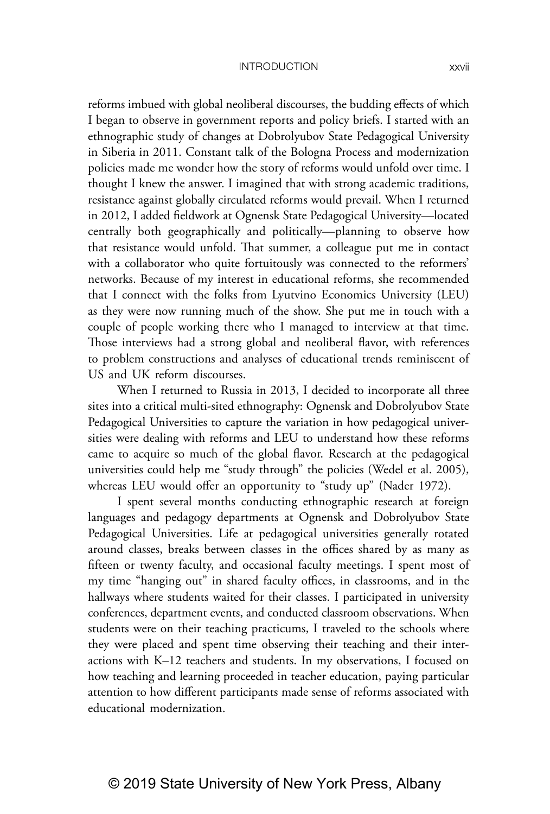#### INTRODUCTION xxvii

reforms imbued with global neoliberal discourses, the budding effects of which I began to observe in government reports and policy briefs. I started with an ethnographic study of changes at Dobrolyubov State Pedagogical University in Siberia in 2011. Constant talk of the Bologna Process and modernization policies made me wonder how the story of reforms would unfold over time. I thought I knew the answer. I imagined that with strong academic traditions, resistance against globally circulated reforms would prevail. When I returned in 2012, I added fieldwork at Ognensk State Pedagogical University—located centrally both geographically and politically—planning to observe how that resistance would unfold. That summer, a colleague put me in contact with a collaborator who quite fortuitously was connected to the reformers' networks. Because of my interest in educational reforms, she recommended that I connect with the folks from Lyutvino Economics University (LEU) as they were now running much of the show. She put me in touch with a couple of people working there who I managed to interview at that time. Those interviews had a strong global and neoliberal flavor, with references to problem constructions and analyses of educational trends reminiscent of US and UK reform discourses.

When I returned to Russia in 2013, I decided to incorporate all three sites into a critical multi-sited ethnography: Ognensk and Dobrolyubov State Pedagogical Universities to capture the variation in how pedagogical universities were dealing with reforms and LEU to understand how these reforms came to acquire so much of the global flavor. Research at the pedagogical universities could help me "study through" the policies (Wedel et al. 2005), whereas LEU would offer an opportunity to "study up" (Nader 1972).

I spent several months conducting ethnographic research at foreign languages and pedagogy departments at Ognensk and Dobrolyubov State Pedagogical Universities. Life at pedagogical universities generally rotated around classes, breaks between classes in the offices shared by as many as fifteen or twenty faculty, and occasional faculty meetings. I spent most of my time "hanging out" in shared faculty offices, in classrooms, and in the hallways where students waited for their classes. I participated in university conferences, department events, and conducted classroom observations. When students were on their teaching practicums, I traveled to the schools where they were placed and spent time observing their teaching and their interactions with K–12 teachers and students. In my observations, I focused on how teaching and learning proceeded in teacher education, paying particular attention to how different participants made sense of reforms associated with educational modernization.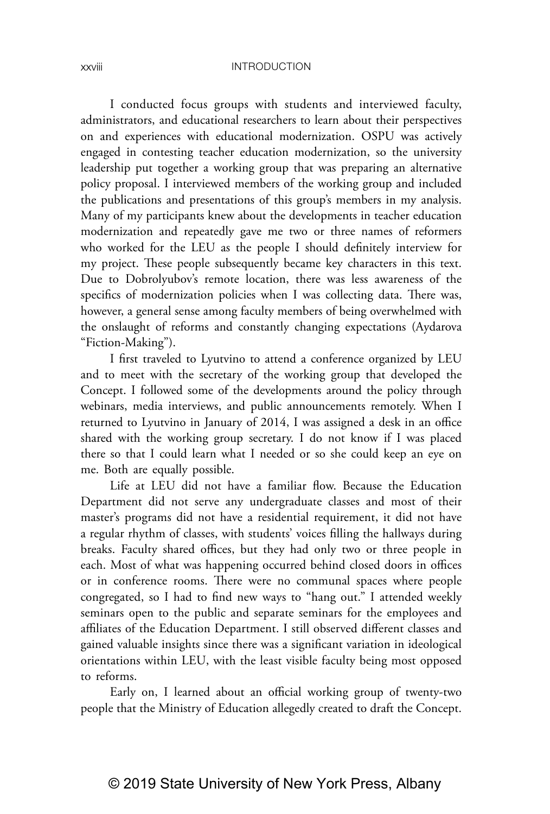#### xxviii INTRODUCTION

I conducted focus groups with students and interviewed faculty, administrators, and educational researchers to learn about their perspectives on and experiences with educational modernization. OSPU was actively engaged in contesting teacher education modernization, so the university leadership put together a working group that was preparing an alternative policy proposal. I interviewed members of the working group and included the publications and presentations of this group's members in my analysis. Many of my participants knew about the developments in teacher education modernization and repeatedly gave me two or three names of reformers who worked for the LEU as the people I should definitely interview for my project. These people subsequently became key characters in this text. Due to Dobrolyubov's remote location, there was less awareness of the specifics of modernization policies when I was collecting data. There was, however, a general sense among faculty members of being overwhelmed with the onslaught of reforms and constantly changing expectations (Aydarova "Fiction-Making").

I first traveled to Lyutvino to attend a conference organized by LEU and to meet with the secretary of the working group that developed the Concept. I followed some of the developments around the policy through webinars, media interviews, and public announcements remotely. When I returned to Lyutvino in January of 2014, I was assigned a desk in an office shared with the working group secretary. I do not know if I was placed there so that I could learn what I needed or so she could keep an eye on me. Both are equally possible.

Life at LEU did not have a familiar flow. Because the Education Department did not serve any undergraduate classes and most of their master's programs did not have a residential requirement, it did not have a regular rhythm of classes, with students' voices filling the hallways during breaks. Faculty shared offices, but they had only two or three people in each. Most of what was happening occurred behind closed doors in offices or in conference rooms. There were no communal spaces where people congregated, so I had to find new ways to "hang out." I attended weekly seminars open to the public and separate seminars for the employees and affiliates of the Education Department. I still observed different classes and gained valuable insights since there was a significant variation in ideological orientations within LEU, with the least visible faculty being most opposed to reforms.

Early on, I learned about an official working group of twenty-two people that the Ministry of Education allegedly created to draft the Concept.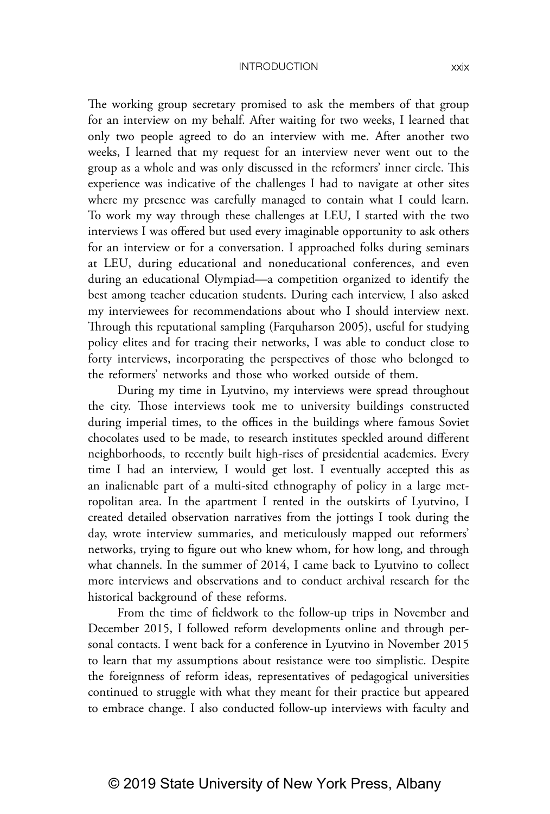INTRODUCTION xxix

The working group secretary promised to ask the members of that group for an interview on my behalf. After waiting for two weeks, I learned that only two people agreed to do an interview with me. After another two weeks, I learned that my request for an interview never went out to the group as a whole and was only discussed in the reformers' inner circle. This experience was indicative of the challenges I had to navigate at other sites where my presence was carefully managed to contain what I could learn. To work my way through these challenges at LEU, I started with the two interviews I was offered but used every imaginable opportunity to ask others for an interview or for a conversation. I approached folks during seminars at LEU, during educational and noneducational conferences, and even during an educational Olympiad—a competition organized to identify the best among teacher education students. During each interview, I also asked my interviewees for recommendations about who I should interview next. Through this reputational sampling (Farquharson 2005), useful for studying policy elites and for tracing their networks, I was able to conduct close to forty interviews, incorporating the perspectives of those who belonged to the reformers' networks and those who worked outside of them.

During my time in Lyutvino, my interviews were spread throughout the city. Those interviews took me to university buildings constructed during imperial times, to the offices in the buildings where famous Soviet chocolates used to be made, to research institutes speckled around different neighborhoods, to recently built high-rises of presidential academies. Every time I had an interview, I would get lost. I eventually accepted this as an inalienable part of a multi-sited ethnography of policy in a large metropolitan area. In the apartment I rented in the outskirts of Lyutvino, I created detailed observation narratives from the jottings I took during the day, wrote interview summaries, and meticulously mapped out reformers' networks, trying to figure out who knew whom, for how long, and through what channels. In the summer of 2014, I came back to Lyutvino to collect more interviews and observations and to conduct archival research for the historical background of these reforms.

From the time of fieldwork to the follow-up trips in November and December 2015, I followed reform developments online and through personal contacts. I went back for a conference in Lyutvino in November 2015 to learn that my assumptions about resistance were too simplistic. Despite the foreignness of reform ideas, representatives of pedagogical universities continued to struggle with what they meant for their practice but appeared to embrace change. I also conducted follow-up interviews with faculty and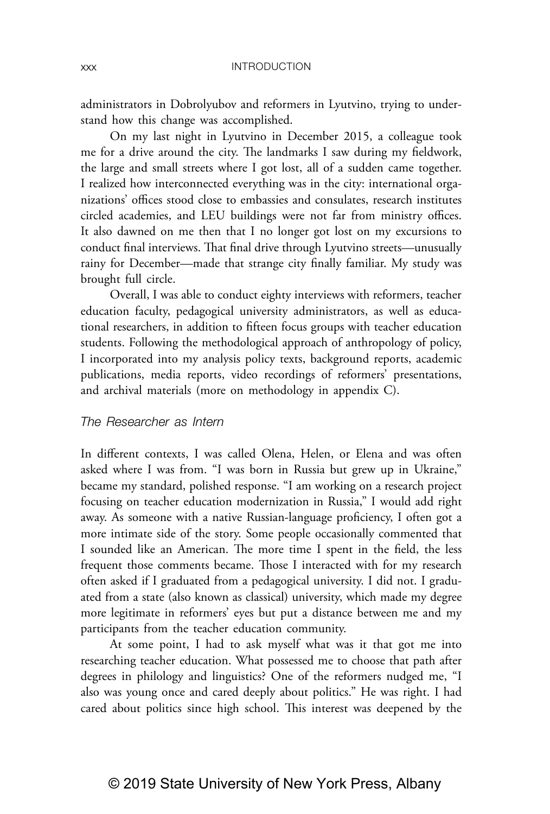administrators in Dobrolyubov and reformers in Lyutvino, trying to understand how this change was accomplished.

On my last night in Lyutvino in December 2015, a colleague took me for a drive around the city. The landmarks I saw during my fieldwork, the large and small streets where I got lost, all of a sudden came together. I realized how interconnected everything was in the city: international organizations' offices stood close to embassies and consulates, research institutes circled academies, and LEU buildings were not far from ministry offices. It also dawned on me then that I no longer got lost on my excursions to conduct final interviews. That final drive through Lyutvino streets—unusually rainy for December—made that strange city finally familiar. My study was brought full circle.

Overall, I was able to conduct eighty interviews with reformers, teacher education faculty, pedagogical university administrators, as well as educational researchers, in addition to fifteen focus groups with teacher education students. Following the methodological approach of anthropology of policy, I incorporated into my analysis policy texts, background reports, academic publications, media reports, video recordings of reformers' presentations, and archival materials (more on methodology in appendix C).

### *The Researcher as Intern*

In different contexts, I was called Olena, Helen, or Elena and was often asked where I was from. "I was born in Russia but grew up in Ukraine," became my standard, polished response. "I am working on a research project focusing on teacher education modernization in Russia," I would add right away. As someone with a native Russian-language proficiency, I often got a more intimate side of the story. Some people occasionally commented that I sounded like an American. The more time I spent in the field, the less frequent those comments became. Those I interacted with for my research often asked if I graduated from a pedagogical university. I did not. I graduated from a state (also known as classical) university, which made my degree more legitimate in reformers' eyes but put a distance between me and my participants from the teacher education community.

At some point, I had to ask myself what was it that got me into researching teacher education. What possessed me to choose that path after degrees in philology and linguistics? One of the reformers nudged me, "I also was young once and cared deeply about politics." He was right. I had cared about politics since high school. This interest was deepened by the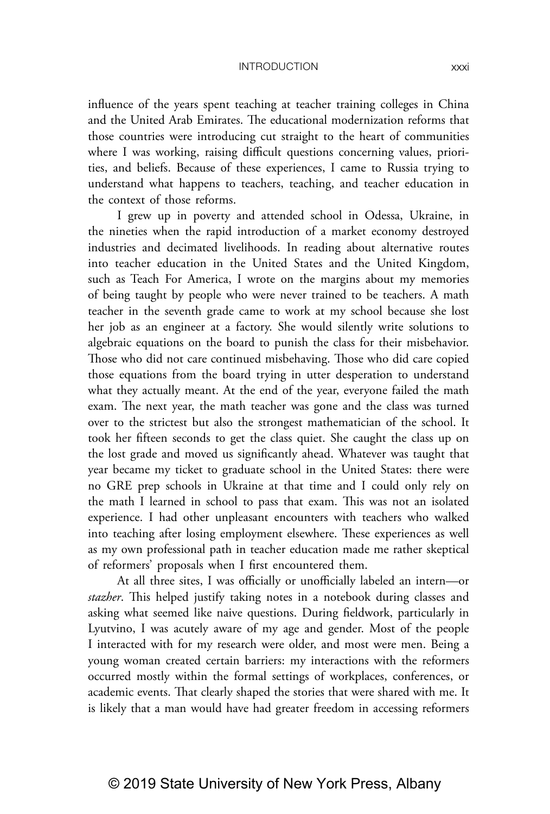INTRODUCTION xxxi

influence of the years spent teaching at teacher training colleges in China and the United Arab Emirates. The educational modernization reforms that those countries were introducing cut straight to the heart of communities where I was working, raising difficult questions concerning values, priorities, and beliefs. Because of these experiences, I came to Russia trying to understand what happens to teachers, teaching, and teacher education in the context of those reforms.

I grew up in poverty and attended school in Odessa, Ukraine, in the nineties when the rapid introduction of a market economy destroyed industries and decimated livelihoods. In reading about alternative routes into teacher education in the United States and the United Kingdom, such as Teach For America, I wrote on the margins about my memories of being taught by people who were never trained to be teachers. A math teacher in the seventh grade came to work at my school because she lost her job as an engineer at a factory. She would silently write solutions to algebraic equations on the board to punish the class for their misbehavior. Those who did not care continued misbehaving. Those who did care copied those equations from the board trying in utter desperation to understand what they actually meant. At the end of the year, everyone failed the math exam. The next year, the math teacher was gone and the class was turned over to the strictest but also the strongest mathematician of the school. It took her fifteen seconds to get the class quiet. She caught the class up on the lost grade and moved us significantly ahead. Whatever was taught that year became my ticket to graduate school in the United States: there were no GRE prep schools in Ukraine at that time and I could only rely on the math I learned in school to pass that exam. This was not an isolated experience. I had other unpleasant encounters with teachers who walked into teaching after losing employment elsewhere. These experiences as well as my own professional path in teacher education made me rather skeptical of reformers' proposals when I first encountered them.

At all three sites, I was officially or unofficially labeled an intern—or *stazher*. This helped justify taking notes in a notebook during classes and asking what seemed like naive questions. During fieldwork, particularly in Lyutvino, I was acutely aware of my age and gender. Most of the people I interacted with for my research were older, and most were men. Being a young woman created certain barriers: my interactions with the reformers occurred mostly within the formal settings of workplaces, conferences, or academic events. That clearly shaped the stories that were shared with me. It is likely that a man would have had greater freedom in accessing reformers